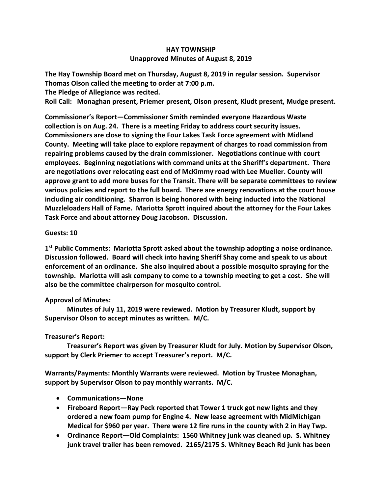## **HAY TOWNSHIP Unapproved Minutes of August 8, 2019**

**The Hay Township Board met on Thursday, August 8, 2019 in regular session. Supervisor Thomas Olson called the meeting to order at 7:00 p.m.** 

**The Pledge of Allegiance was recited.** 

**Roll Call: Monaghan present, Priemer present, Olson present, Kludt present, Mudge present.**

**Commissioner's Report—Commissioner Smith reminded everyone Hazardous Waste collection is on Aug. 24. There is a meeting Friday to address court security issues. Commissioners are close to signing the Four Lakes Task Force agreement with Midland County. Meeting will take place to explore repayment of charges to road commission from repairing problems caused by the drain commissioner. Negotiations continue with court employees. Beginning negotiations with command units at the Sheriff's department. There are negotiations over relocating east end of McKimmy road with Lee Mueller. County will approve grant to add more buses for the Transit. There will be separate committees to review various policies and report to the full board. There are energy renovations at the court house including air conditioning. Sharron is being honored with being inducted into the National Muzzleloaders Hall of Fame. Mariotta Sprott inquired about the attorney for the Four Lakes Task Force and about attorney Doug Jacobson. Discussion.**

## **Guests: 10**

**1 st Public Comments: Mariotta Sprott asked about the township adopting a noise ordinance. Discussion followed. Board will check into having Sheriff Shay come and speak to us about enforcement of an ordinance. She also inquired about a possible mosquito spraying for the township. Mariotta will ask company to come to a township meeting to get a cost. She will also be the committee chairperson for mosquito control.**

## **Approval of Minutes:**

 **Minutes of July 11, 2019 were reviewed. Motion by Treasurer Kludt, support by Supervisor Olson to accept minutes as written. M/C.**

## **Treasurer's Report:**

 **Treasurer's Report was given by Treasurer Kludt for July. Motion by Supervisor Olson, support by Clerk Priemer to accept Treasurer's report. M/C.**

**Warrants/Payments: Monthly Warrants were reviewed. Motion by Trustee Monaghan, support by Supervisor Olson to pay monthly warrants. M/C.**

- **Communications—None**
- **Fireboard Report—Ray Peck reported that Tower 1 truck got new lights and they ordered a new foam pump for Engine 4. New lease agreement with MidMichigan Medical for \$960 per year. There were 12 fire runs in the county with 2 in Hay Twp.**
- **Ordinance Report—Old Complaints: 1560 Whitney junk was cleaned up. S. Whitney junk travel trailer has been removed. 2165/2175 S. Whitney Beach Rd junk has been**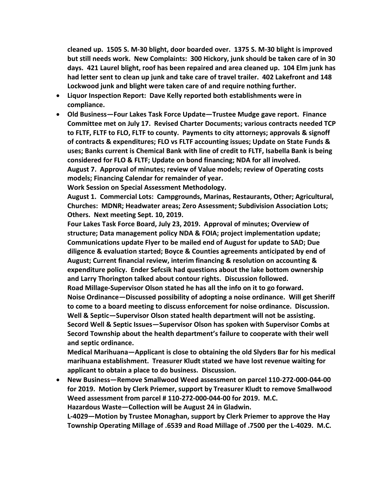**cleaned up. 1505 S. M-30 blight, door boarded over. 1375 S. M-30 blight is improved but still needs work. New Complaints: 300 Hickory, junk should be taken care of in 30 days. 421 Laurel blight, roof has been repaired and area cleaned up. 104 Elm junk has had letter sent to clean up junk and take care of travel trailer. 402 Lakefront and 148 Lockwood junk and blight were taken care of and require nothing further.**

- **Liquor Inspection Report: Dave Kelly reported both establishments were in compliance.**
- **Old Business—Four Lakes Task Force Update—Trustee Mudge gave report. Finance Committee met on July 17. Revised Charter Documents; various contracts needed TCP to FLTF, FLTF to FLO, FLTF to county. Payments to city attorneys; approvals & signoff of contracts & expenditures; FLO vs FLTF accounting issues; Update on State Funds & uses; Banks current is Chemical Bank with line of credit to FLTF, Isabella Bank is being considered for FLO & FLTF; Update on bond financing; NDA for all involved.**

**August 7. Approval of minutes; review of Value models; review of Operating costs models; Financing Calendar for remainder of year.**

**Work Session on Special Assessment Methodology.**

**August 1. Commercial Lots: Campgrounds, Marinas, Restaurants, Other; Agricultural, Churches: MDNR; Headwater areas; Zero Assessment; Subdivision Association Lots; Others. Next meeting Sept. 10, 2019.**

**Four Lakes Task Force Board, July 23, 2019. Approval of minutes; Overview of structure; Data management policy NDA & FOIA; project implementation update; Communications update Flyer to be mailed end of August for update to SAD; Due diligence & evaluation started; Boyce & Counties agreements anticipated by end of August; Current financial review, interim financing & resolution on accounting & expenditure policy. Ender Sefcsik had questions about the lake bottom ownership and Larry Thorington talked about contour rights. Discussion followed.** 

**Road Millage-Supervisor Olson stated he has all the info on it to go forward. Noise Ordinance—Discussed possibility of adopting a noise ordinance. Will get Sheriff to come to a board meeting to discuss enforcement for noise ordinance. Discussion. Well & Septic—Supervisor Olson stated health department will not be assisting. Secord Well & Septic Issues—Supervisor Olson has spoken with Supervisor Combs at Secord Township about the health department's failure to cooperate with their well and septic ordinance.**

**Medical Marihuana—Applicant is close to obtaining the old Slyders Bar for his medical marihuana establishment. Treasurer Kludt stated we have lost revenue waiting for applicant to obtain a place to do business. Discussion.**

• **New Business—Remove Smallwood Weed assessment on parcel 110-272-000-044-00 for 2019. Motion by Clerk Priemer, support by Treasurer Kludt to remove Smallwood Weed assessment from parcel # 110-272-000-044-00 for 2019. M.C. Hazardous Waste—Collection will be August 24 in Gladwin.**

**L-4029—Motion by Trustee Monaghan, support by Clerk Priemer to approve the Hay Township Operating Millage of .6539 and Road Millage of .7500 per the L-4029. M.C.**